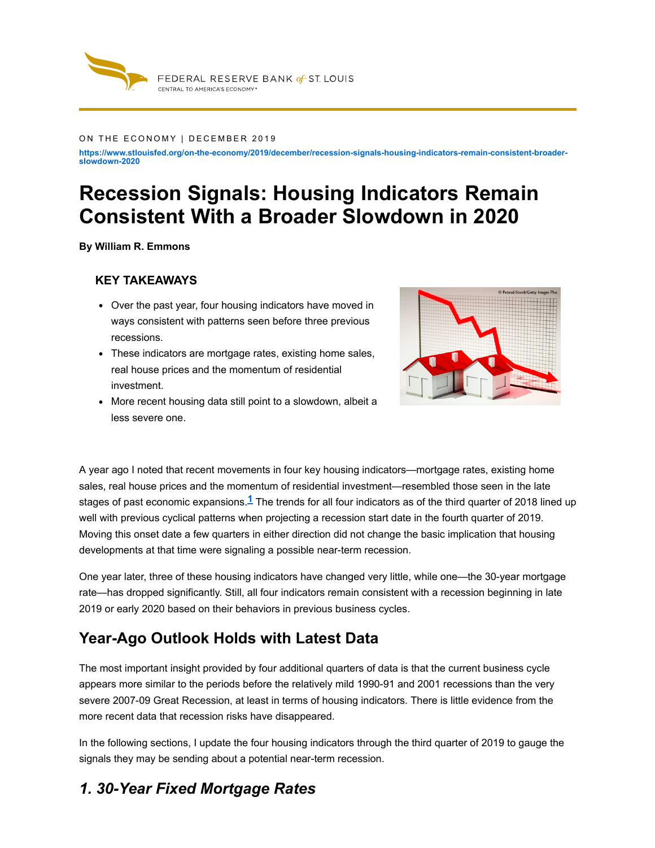

#### ON THE ECONOMY | DECEMBER 2019

**https://www.stlouisfed.org/on-the-economy/2019/december/recession-signals-housing-indicators-remain-consistent-broaderslowdown-2020**

# **Recession Signals: Housing Indicators Remain Consistent With a Broader Slowdown in 2020**

**By William R. Emmons**

#### **KEY TAKEAWAYS**

- Over the past year, four housing indicators have moved in ways consistent with patterns seen before three previous recessions.
- These indicators are mortgage rates, existing home sales, real house prices and the momentum of residential investment.
- More recent housing data still point to a slowdown, albeit a less severe one.



A year ago I noted that recent movements in four key housing indicators—mortgage rates, existing home sales, real house prices and the momentum of residential investment—resembled those seen in the late stages of past economic expansions. $1$  The trends for all four indicators as of the third quarter of 2018 lined up well with previous cyclical patterns when projecting a recession start date in the fourth quarter of 2019. Moving this onset date a few quarters in either direction did not change the basic implication that housing developments at that time were signaling a possible near-term recession.

One year later, three of these housing indicators have changed very little, while one—the 30-year mortgage rate—has dropped significantly. Still, all four indicators remain consistent with a recession beginning in late 2019 or early 2020 based on their behaviors in previous business cycles.

#### **Year-Ago Outlook Holds with Latest Data**

The most important insight provided by four additional quarters of data is that the current business cycle appears more similar to the periods before the relatively mild 1990-91 and 2001 recessions than the very severe 2007-09 Great Recession, at least in terms of housing indicators. There is little evidence from the more recent data that recession risks have disappeared.

In the following sections, I update the four housing indicators through the third quarter of 2019 to gauge the signals they may be sending about a potential near-term recession.

#### *1. 30-Year Fixed Mortgage Rates*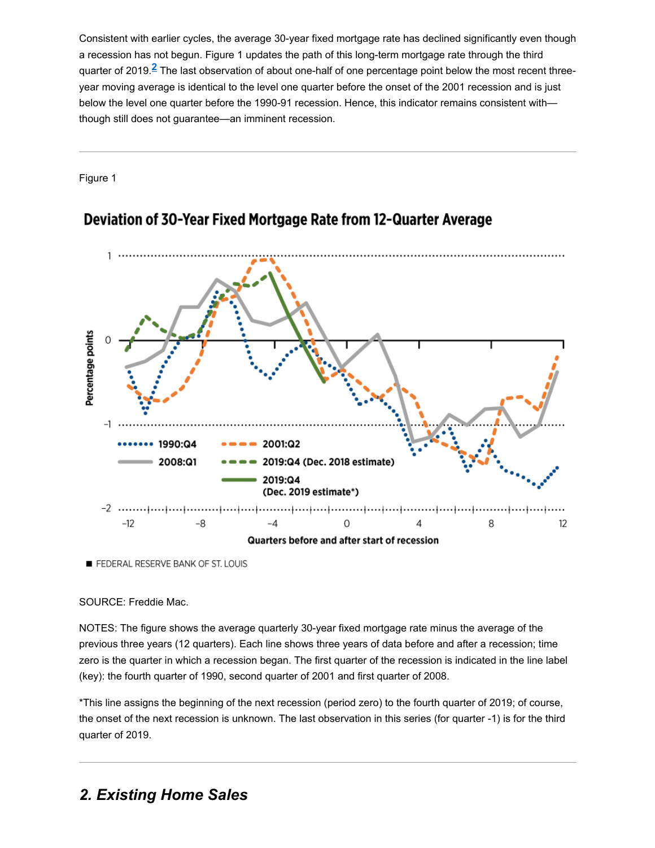Consistent with earlier cycles, the average 30-year fixed mortgage rate has declined significantly even though a recession has not begun. Figure 1 updates the path of this long-term mortgage rate through the third quarter of 2019.<sup>2</sup> The last observation of about one-half of one percentage point below the most recent threeyear moving average is identical to the level one quarter before the onset of the 2001 recession and is just below the level one quarter before the 1990-91 recession. Hence, this indicator remains consistent with though still does not guarantee—an imminent recession.

Figure 1



#### Deviation of 30-Year Fixed Mortgage Rate from 12-Quarter Average

FEDERAL RESERVE BANK OF ST. LOUIS

#### SOURCE: Freddie Mac.

NOTES: The figure shows the average quarterly 30-year fixed mortgage rate minus the average of the previous three years (12 quarters). Each line shows three years of data before and after a recession; time zero is the quarter in which a recession began. The first quarter of the recession is indicated in the line label (key): the fourth quarter of 1990, second quarter of 2001 and first quarter of 2008.

\*This line assigns the beginning of the next recession (period zero) to the fourth quarter of 2019; of course, the onset of the next recession is unknown. The last observation in this series (for quarter -1) is for the third quarter of 2019.

### *2. Existing Home Sales*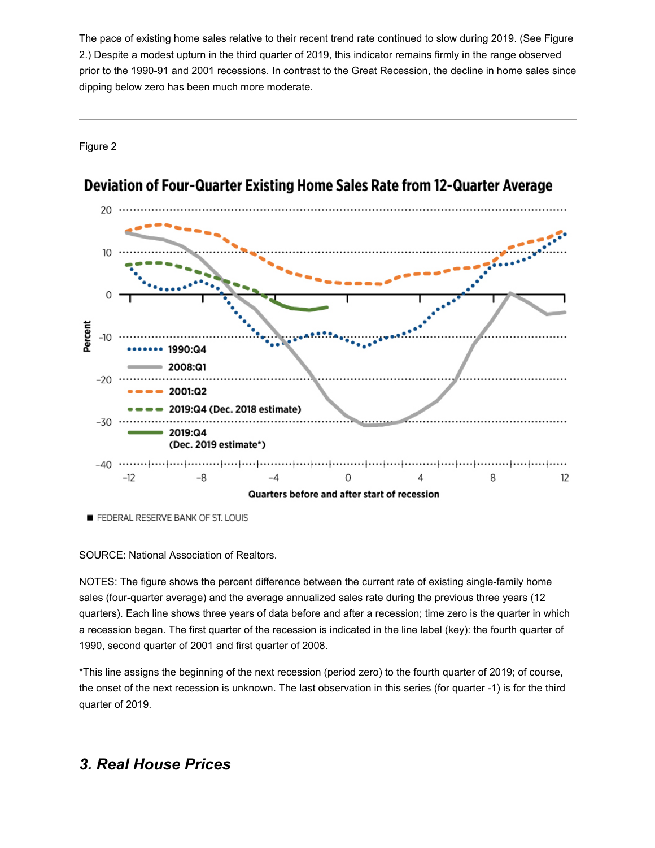The pace of existing home sales relative to their recent trend rate continued to slow during 2019. (See Figure 2.) Despite a modest upturn in the third quarter of 2019, this indicator remains firmly in the range observed prior to the 1990-91 and 2001 recessions. In contrast to the Great Recession, the decline in home sales since dipping below zero has been much more moderate.

Figure 2



## Deviation of Four-Quarter Existing Home Sales Rate from 12-Quarter Average

FEDERAL RESERVE BANK OF ST. LOUIS

SOURCE: National Association of Realtors.

NOTES: The figure shows the percent difference between the current rate of existing single-family home sales (four-quarter average) and the average annualized sales rate during the previous three years (12 quarters). Each line shows three years of data before and after a recession; time zero is the quarter in which a recession began. The first quarter of the recession is indicated in the line label (key): the fourth quarter of 1990, second quarter of 2001 and first quarter of 2008.

\*This line assigns the beginning of the next recession (period zero) to the fourth quarter of 2019; of course, the onset of the next recession is unknown. The last observation in this series (for quarter -1) is for the third quarter of 2019.

### *3. Real House Prices*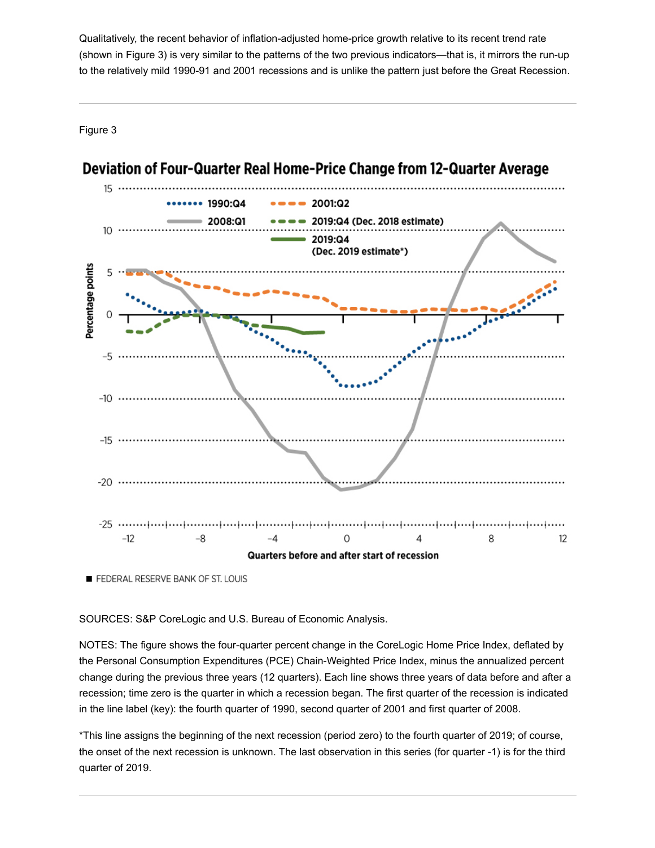Qualitatively, the recent behavior of inflation-adjusted home-price growth relative to its recent trend rate (shown in Figure 3) is very similar to the patterns of the two previous indicators—that is, it mirrors the run-up to the relatively mild 1990-91 and 2001 recessions and is unlike the pattern just before the Great Recession.

Figure 3



#### Deviation of Four-Quarter Real Home-Price Change from 12-Quarter Average

FEDERAL RESERVE BANK OF ST. LOUIS

SOURCES: S&P CoreLogic and U.S. Bureau of Economic Analysis.

NOTES: The figure shows the four-quarter percent change in the CoreLogic Home Price Index, deflated by the Personal Consumption Expenditures (PCE) Chain-Weighted Price Index, minus the annualized percent change during the previous three years (12 quarters). Each line shows three years of data before and after a recession; time zero is the quarter in which a recession began. The first quarter of the recession is indicated in the line label (key): the fourth quarter of 1990, second quarter of 2001 and first quarter of 2008.

\*This line assigns the beginning of the next recession (period zero) to the fourth quarter of 2019; of course, the onset of the next recession is unknown. The last observation in this series (for quarter -1) is for the third quarter of 2019.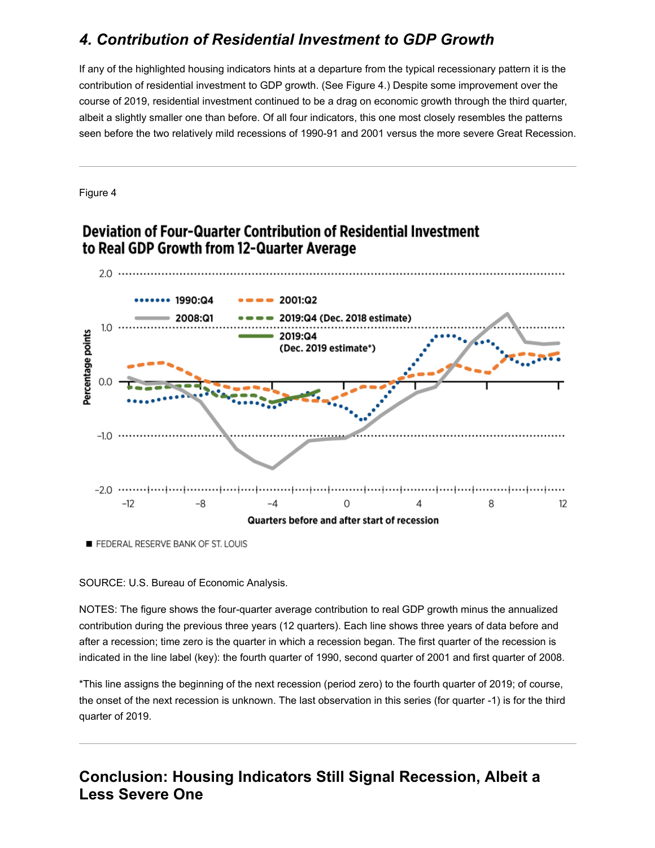# *4. Contribution of Residential Investment to GDP Growth*

If any of the highlighted housing indicators hints at a departure from the typical recessionary pattern it is the contribution of residential investment to GDP growth. (See Figure 4.) Despite some improvement over the course of 2019, residential investment continued to be a drag on economic growth through the third quarter, albeit a slightly smaller one than before. Of all four indicators, this one most closely resembles the patterns seen before the two relatively mild recessions of 1990-91 and 2001 versus the more severe Great Recession.

Figure 4

#### Deviation of Four-Quarter Contribution of Residential Investment to Real GDP Growth from 12-Quarter Average



FEDERAL RESERVE BANK OF ST. LOUIS

SOURCE: U.S. Bureau of Economic Analysis.

NOTES: The figure shows the four-quarter average contribution to real GDP growth minus the annualized contribution during the previous three years (12 quarters). Each line shows three years of data before and after a recession; time zero is the quarter in which a recession began. The first quarter of the recession is indicated in the line label (key): the fourth quarter of 1990, second quarter of 2001 and first quarter of 2008.

\*This line assigns the beginning of the next recession (period zero) to the fourth quarter of 2019; of course, the onset of the next recession is unknown. The last observation in this series (for quarter -1) is for the third quarter of 2019.

**Conclusion: Housing Indicators Still Signal Recession, Albeit a Less Severe One**